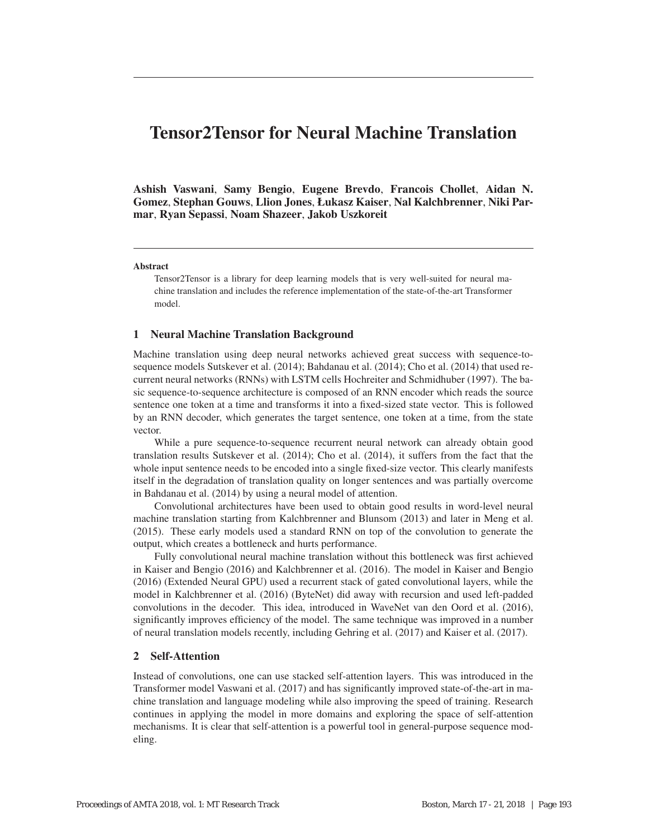# Tensor2Tensor for Neural Machine Translation

Ashish Vaswani, Samy Bengio, Eugene Brevdo, Francois Chollet, Aidan N. Gomez, Stephan Gouws, Llion Jones, Łukasz Kaiser, Nal Kalchbrenner, Niki Parmar, Ryan Sepassi, Noam Shazeer, Jakob Uszkoreit

#### Abstract

Tensor2Tensor is a library for deep learning models that is very well-suited for neural machine translation and includes the reference implementation of the state-of-the-art Transformer model.

#### 1 Neural Machine Translation Background

Machine translation using deep neural networks achieved great success with sequence-tosequence models Sutskever et al. (2014); Bahdanau et al. (2014); Cho et al. (2014) that used recurrent neural networks (RNNs) with LSTM cells Hochreiter and Schmidhuber (1997). The basic sequence-to-sequence architecture is composed of an RNN encoder which reads the source sentence one token at a time and transforms it into a fixed-sized state vector. This is followed by an RNN decoder, which generates the target sentence, one token at a time, from the state vector.

While a pure sequence-to-sequence recurrent neural network can already obtain good translation results Sutskever et al. (2014); Cho et al. (2014), it suffers from the fact that the whole input sentence needs to be encoded into a single fixed-size vector. This clearly manifests itself in the degradation of translation quality on longer sentences and was partially overcome in Bahdanau et al. (2014) by using a neural model of attention.

Convolutional architectures have been used to obtain good results in word-level neural machine translation starting from Kalchbrenner and Blunsom (2013) and later in Meng et al. (2015). These early models used a standard RNN on top of the convolution to generate the output, which creates a bottleneck and hurts performance.

Fully convolutional neural machine translation without this bottleneck was first achieved in Kaiser and Bengio (2016) and Kalchbrenner et al. (2016). The model in Kaiser and Bengio (2016) (Extended Neural GPU) used a recurrent stack of gated convolutional layers, while the model in Kalchbrenner et al. (2016) (ByteNet) did away with recursion and used left-padded convolutions in the decoder. This idea, introduced in WaveNet van den Oord et al. (2016), significantly improves efficiency of the model. The same technique was improved in a number of neural translation models recently, including Gehring et al. (2017) and Kaiser et al. (2017).

## 2 Self-Attention

Instead of convolutions, one can use stacked self-attention layers. This was introduced in the Transformer model Vaswani et al. (2017) and has significantly improved state-of-the-art in machine translation and language modeling while also improving the speed of training. Research continues in applying the model in more domains and exploring the space of self-attention mechanisms. It is clear that self-attention is a powerful tool in general-purpose sequence modeling.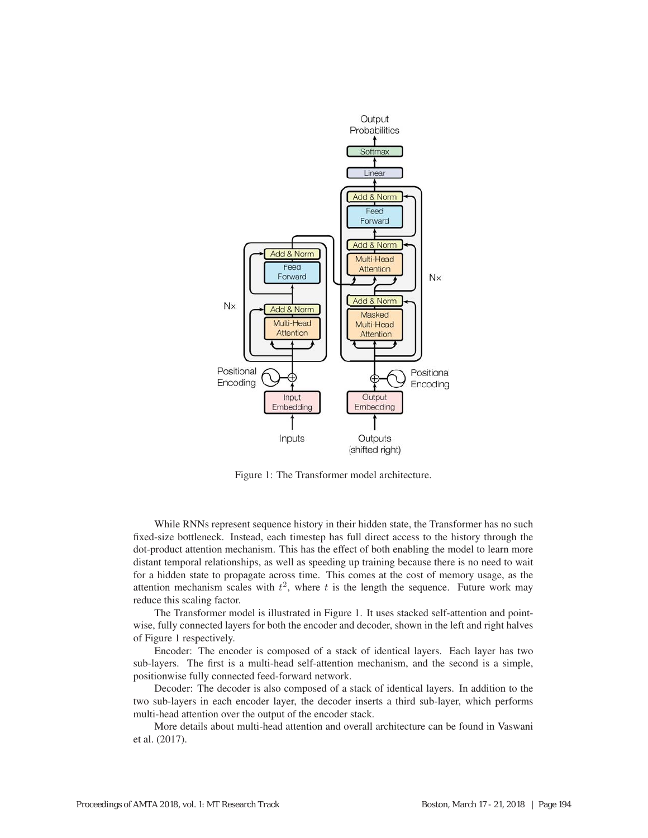

Figure 1: The Transformer model architecture.

While RNNs represent sequence history in their hidden state, the Transformer has no such fixed-size bottleneck. Instead, each timestep has full direct access to the history through the dot-product attention mechanism. This has the effect of both enabling the model to learn more distant temporal relationships, as well as speeding up training because there is no need to wait for a hidden state to propagate across time. This comes at the cost of memory usage, as the attention mechanism scales with  $t^2$ , where t is the length the sequence. Future work may reduce this scaling factor.

The Transformer model is illustrated in Figure 1. It uses stacked self-attention and pointwise, fully connected layers for both the encoder and decoder, shown in the left and right halves of Figure 1 respectively.

Encoder: The encoder is composed of a stack of identical layers. Each layer has two sub-layers. The first is a multi-head self-attention mechanism, and the second is a simple, positionwise fully connected feed-forward network.

Decoder: The decoder is also composed of a stack of identical layers. In addition to the two sub-layers in each encoder layer, the decoder inserts a third sub-layer, which performs multi-head attention over the output of the encoder stack.

More details about multi-head attention and overall architecture can be found in Vaswani et al. (2017).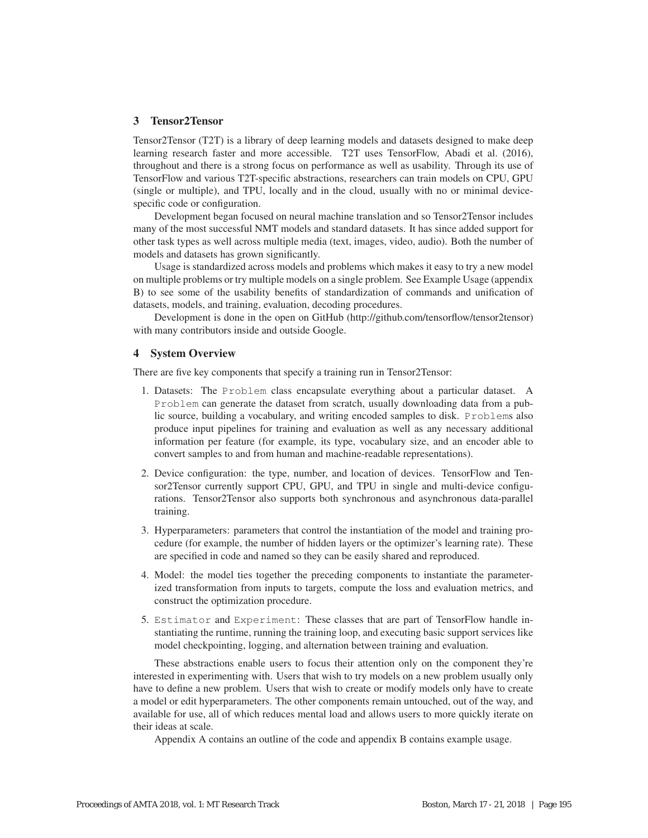#### 3 Tensor2Tensor

Tensor2Tensor (T2T) is a library of deep learning models and datasets designed to make deep learning research faster and more accessible. T2T uses TensorFlow, Abadi et al. (2016), throughout and there is a strong focus on performance as well as usability. Through its use of TensorFlow and various T2T-specific abstractions, researchers can train models on CPU, GPU (single or multiple), and TPU, locally and in the cloud, usually with no or minimal devicespecific code or configuration.

Development began focused on neural machine translation and so Tensor2Tensor includes many of the most successful NMT models and standard datasets. It has since added support for other task types as well across multiple media (text, images, video, audio). Both the number of models and datasets has grown significantly.

Usage is standardized across models and problems which makes it easy to try a new model on multiple problems or try multiple models on a single problem. See Example Usage (appendix B) to see some of the usability benefits of standardization of commands and unification of datasets, models, and training, evaluation, decoding procedures.

Development is done in the open on GitHub (http://github.com/tensorflow/tensor2tensor) with many contributors inside and outside Google.

#### 4 System Overview

There are five key components that specify a training run in Tensor2Tensor:

- 1. Datasets: The Problem class encapsulate everything about a particular dataset. A Problem can generate the dataset from scratch, usually downloading data from a public source, building a vocabulary, and writing encoded samples to disk. Problems also produce input pipelines for training and evaluation as well as any necessary additional information per feature (for example, its type, vocabulary size, and an encoder able to convert samples to and from human and machine-readable representations).
- 2. Device configuration: the type, number, and location of devices. TensorFlow and Tensor2Tensor currently support CPU, GPU, and TPU in single and multi-device configurations. Tensor2Tensor also supports both synchronous and asynchronous data-parallel training.
- 3. Hyperparameters: parameters that control the instantiation of the model and training procedure (for example, the number of hidden layers or the optimizer's learning rate). These are specified in code and named so they can be easily shared and reproduced.
- 4. Model: the model ties together the preceding components to instantiate the parameterized transformation from inputs to targets, compute the loss and evaluation metrics, and construct the optimization procedure.
- 5. Estimator and Experiment: These classes that are part of TensorFlow handle instantiating the runtime, running the training loop, and executing basic support services like model checkpointing, logging, and alternation between training and evaluation.

These abstractions enable users to focus their attention only on the component they're interested in experimenting with. Users that wish to try models on a new problem usually only have to define a new problem. Users that wish to create or modify models only have to create a model or edit hyperparameters. The other components remain untouched, out of the way, and available for use, all of which reduces mental load and allows users to more quickly iterate on their ideas at scale.

Appendix A contains an outline of the code and appendix B contains example usage.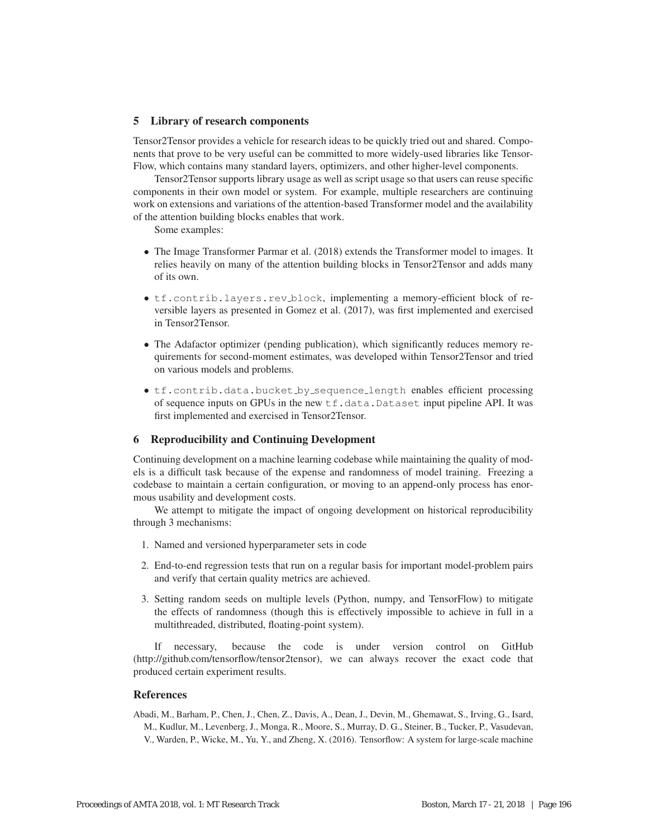## 5 Library of research components

Tensor2Tensor provides a vehicle for research ideas to be quickly tried out and shared. Components that prove to be very useful can be committed to more widely-used libraries like Tensor-Flow, which contains many standard layers, optimizers, and other higher-level components.

Tensor2Tensor supports library usage as well as script usage so that users can reuse specific components in their own model or system. For example, multiple researchers are continuing work on extensions and variations of the attention-based Transformer model and the availability of the attention building blocks enables that work.

Some examples:

- The Image Transformer Parmar et al. (2018) extends the Transformer model to images. It relies heavily on many of the attention building blocks in Tensor2Tensor and adds many of its own.
- tf.contrib.layers.rev block, implementing a memory-efficient block of reversible layers as presented in Gomez et al. (2017), was first implemented and exercised in Tensor2Tensor.
- The Adafactor optimizer (pending publication), which significantly reduces memory requirements for second-moment estimates, was developed within Tensor2Tensor and tried on various models and problems.
- tf.contrib.data.bucket by sequence length enables efficient processing of sequence inputs on GPUs in the new tf.data.Dataset input pipeline API. It was first implemented and exercised in Tensor2Tensor.

## 6 Reproducibility and Continuing Development

Continuing development on a machine learning codebase while maintaining the quality of models is a difficult task because of the expense and randomness of model training. Freezing a codebase to maintain a certain configuration, or moving to an append-only process has enormous usability and development costs.

We attempt to mitigate the impact of ongoing development on historical reproducibility through 3 mechanisms:

- 1. Named and versioned hyperparameter sets in code
- 2. End-to-end regression tests that run on a regular basis for important model-problem pairs and verify that certain quality metrics are achieved.
- 3. Setting random seeds on multiple levels (Python, numpy, and TensorFlow) to mitigate the effects of randomness (though this is effectively impossible to achieve in full in a multithreaded, distributed, floating-point system).

If necessary, because the code is under version control on GitHub (http://github.com/tensorflow/tensor2tensor), we can always recover the exact code that produced certain experiment results.

#### References

Abadi, M., Barham, P., Chen, J., Chen, Z., Davis, A., Dean, J., Devin, M., Ghemawat, S., Irving, G., Isard, M., Kudlur, M., Levenberg, J., Monga, R., Moore, S., Murray, D. G., Steiner, B., Tucker, P., Vasudevan, V., Warden, P., Wicke, M., Yu, Y., and Zheng, X. (2016). Tensorflow: A system for large-scale machine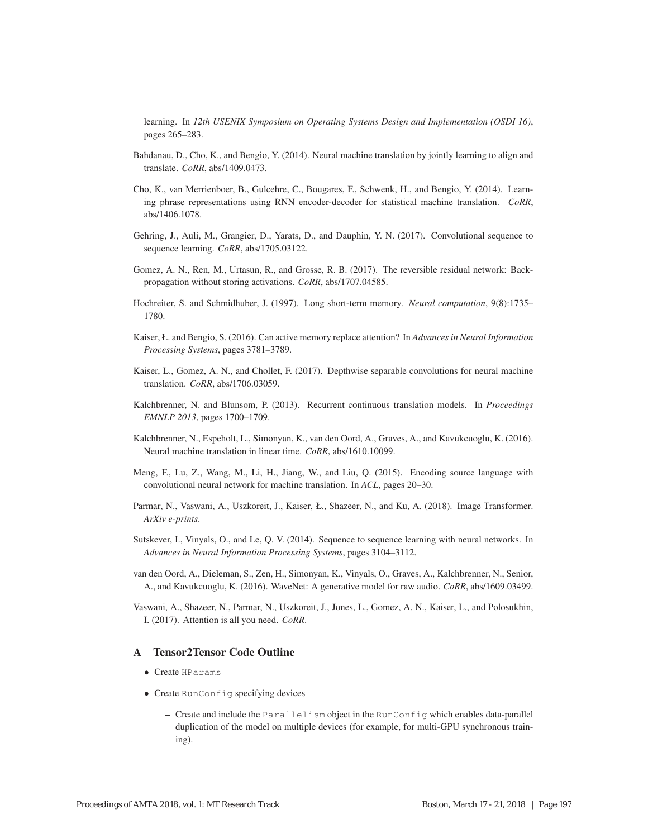learning. In *12th USENIX Symposium on Operating Systems Design and Implementation (OSDI 16)*, pages 265–283.

- Bahdanau, D., Cho, K., and Bengio, Y. (2014). Neural machine translation by jointly learning to align and translate. *CoRR*, abs/1409.0473.
- Cho, K., van Merrienboer, B., Gulcehre, C., Bougares, F., Schwenk, H., and Bengio, Y. (2014). Learning phrase representations using RNN encoder-decoder for statistical machine translation. *CoRR*, abs/1406.1078.
- Gehring, J., Auli, M., Grangier, D., Yarats, D., and Dauphin, Y. N. (2017). Convolutional sequence to sequence learning. *CoRR*, abs/1705.03122.
- Gomez, A. N., Ren, M., Urtasun, R., and Grosse, R. B. (2017). The reversible residual network: Backpropagation without storing activations. *CoRR*, abs/1707.04585.
- Hochreiter, S. and Schmidhuber, J. (1997). Long short-term memory. *Neural computation*, 9(8):1735– 1780.
- Kaiser, Ł. and Bengio, S. (2016). Can active memory replace attention? In *Advances in Neural Information Processing Systems*, pages 3781–3789.
- Kaiser, L., Gomez, A. N., and Chollet, F. (2017). Depthwise separable convolutions for neural machine translation. *CoRR*, abs/1706.03059.
- Kalchbrenner, N. and Blunsom, P. (2013). Recurrent continuous translation models. In *Proceedings EMNLP 2013*, pages 1700–1709.
- Kalchbrenner, N., Espeholt, L., Simonyan, K., van den Oord, A., Graves, A., and Kavukcuoglu, K. (2016). Neural machine translation in linear time. *CoRR*, abs/1610.10099.
- Meng, F., Lu, Z., Wang, M., Li, H., Jiang, W., and Liu, Q. (2015). Encoding source language with convolutional neural network for machine translation. In *ACL*, pages 20–30.
- Parmar, N., Vaswani, A., Uszkoreit, J., Kaiser, Ł., Shazeer, N., and Ku, A. (2018). Image Transformer. *ArXiv e-prints*.
- Sutskever, I., Vinyals, O., and Le, Q. V. (2014). Sequence to sequence learning with neural networks. In *Advances in Neural Information Processing Systems*, pages 3104–3112.
- van den Oord, A., Dieleman, S., Zen, H., Simonyan, K., Vinyals, O., Graves, A., Kalchbrenner, N., Senior, A., and Kavukcuoglu, K. (2016). WaveNet: A generative model for raw audio. *CoRR*, abs/1609.03499.
- Vaswani, A., Shazeer, N., Parmar, N., Uszkoreit, J., Jones, L., Gomez, A. N., Kaiser, L., and Polosukhin, I. (2017). Attention is all you need. *CoRR*.

## A Tensor2Tensor Code Outline

- Create HParams
- Create RunConfig specifying devices
	- Create and include the Parallelism object in the RunConfig which enables data-parallel duplication of the model on multiple devices (for example, for multi-GPU synchronous training).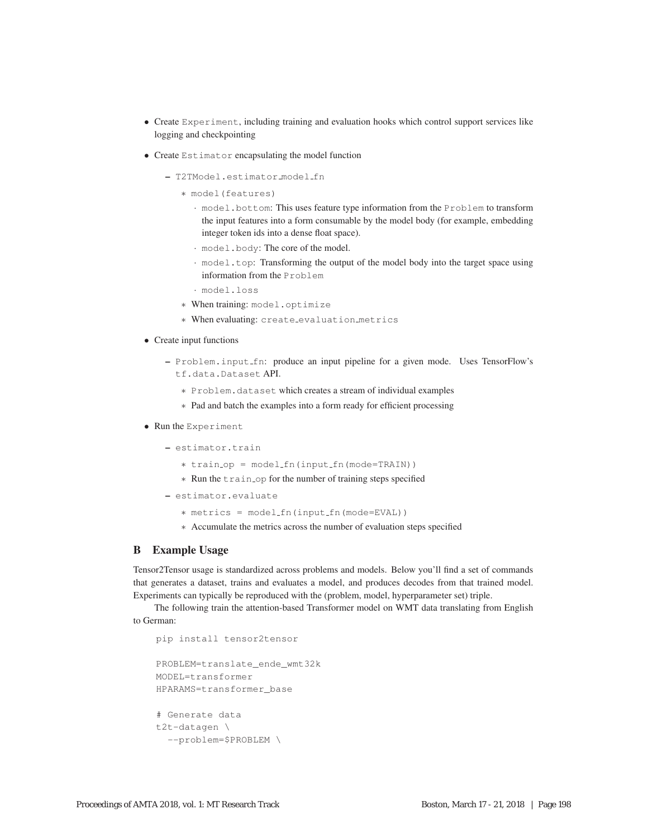- Create Experiment, including training and evaluation hooks which control support services like logging and checkpointing
- Create Estimator encapsulating the model function
	- T2TModel.estimator model fn
		- ∗ model(features)
			- · model.bottom: This uses feature type information from the Problem to transform the input features into a form consumable by the model body (for example, embedding integer token ids into a dense float space).
			- · model.body: The core of the model.
			- · model.top: Transforming the output of the model body into the target space using information from the Problem
			- · model.loss
		- ∗ When training: model.optimize
		- ∗ When evaluating: create evaluation metrics
- Create input functions
	- Problem.input fn: produce an input pipeline for a given mode. Uses TensorFlow's tf.data.Dataset API.
		- ∗ Problem.dataset which creates a stream of individual examples
		- ∗ Pad and batch the examples into a form ready for efficient processing
- Run the Experiment
	- estimator.train
		- ∗ train op = model fn(input fn(mode=TRAIN))
		- ∗ Run the train op for the number of training steps specified
	- estimator.evaluate
		- ∗ metrics = model fn(input fn(mode=EVAL))
		- ∗ Accumulate the metrics across the number of evaluation steps specified

#### B Example Usage

Tensor2Tensor usage is standardized across problems and models. Below you'll find a set of commands that generates a dataset, trains and evaluates a model, and produces decodes from that trained model. Experiments can typically be reproduced with the (problem, model, hyperparameter set) triple.

The following train the attention-based Transformer model on WMT data translating from English to German:

```
pip install tensor2tensor
PROBLEM=translate_ende_wmt32k
MODEL=transformer
HPARAMS=transformer_base
# Generate data
t2t-datagen \
  --problem=$PROBLEM \
```